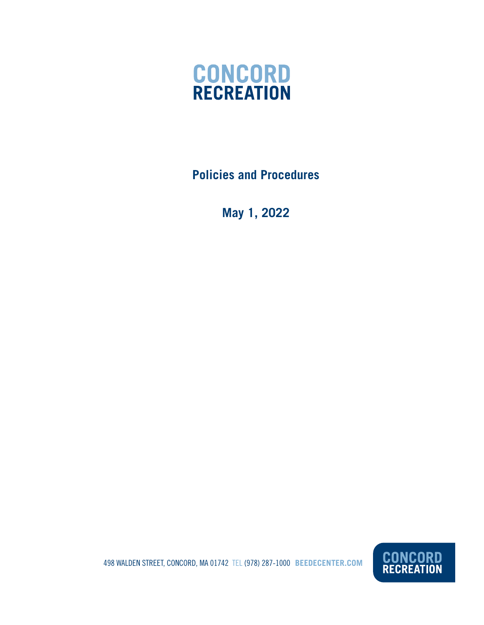

**Policies and Procedures**

**May 1, 2022**

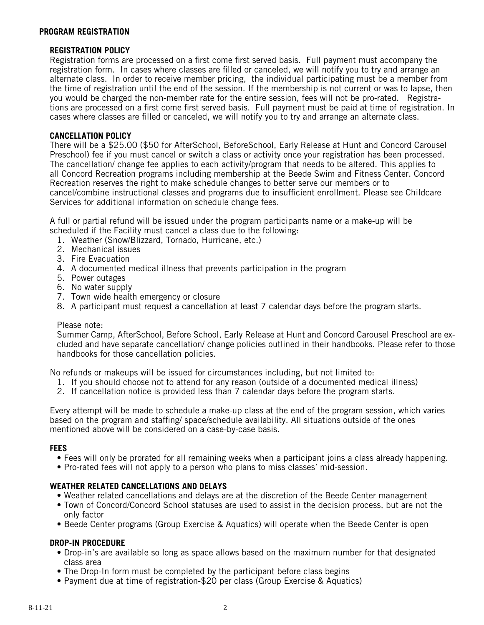#### **PROGRAM REGISTRATION**

# **REGISTRATION POLICY**

Registration forms are processed on a first come first served basis. Full payment must accompany the registration form. In cases where classes are filled or canceled, we will notify you to try and arrange an alternate class. In order to receive member pricing, the individual participating must be a member from the time of registration until the end of the session. If the membership is not current or was to lapse, then you would be charged the non-member rate for the entire session, fees will not be pro-rated. Registrations are processed on a first come first served basis. Full payment must be paid at time of registration. In cases where classes are filled or canceled, we will notify you to try and arrange an alternate class.

# **CANCELLATION POLICY**

There will be a \$25.00 (\$50 for AfterSchool, BeforeSchool, Early Release at Hunt and Concord Carousel Preschool) fee if you must cancel or switch a class or activity once your registration has been processed. The cancellation/ change fee applies to each activity/program that needs to be altered. This applies to all Concord Recreation programs including membership at the Beede Swim and Fitness Center. Concord Recreation reserves the right to make schedule changes to better serve our members or to cancel/combine instructional classes and programs due to insufficient enrollment. Please see Childcare Services for additional information on schedule change fees.

A full or partial refund will be issued under the program participants name or a make-up will be scheduled if the Facility must cancel a class due to the following:

- 1. Weather (Snow/Blizzard, Tornado, Hurricane, etc.)
- 2. Mechanical issues
- 3. Fire Evacuation
- 4. A documented medical illness that prevents participation in the program
- 5. Power outages
- 6. No water supply
- 7. Town wide health emergency or closure
- 8. A participant must request a cancellation at least 7 calendar days before the program starts.

### Please note:

Summer Camp, AfterSchool, Before School, Early Release at Hunt and Concord Carousel Preschool are excluded and have separate cancellation/ change policies outlined in their handbooks. Please refer to those handbooks for those cancellation policies.

No refunds or makeups will be issued for circumstances including, but not limited to:

- 1. If you should choose not to attend for any reason (outside of a documented medical illness)
- 2. If cancellation notice is provided less than 7 calendar days before the program starts.

Every attempt will be made to schedule a make-up class at the end of the program session, which varies based on the program and staffing/ space/schedule availability. All situations outside of the ones mentioned above will be considered on a case-by-case basis.

### **FEES**

- Fees will only be prorated for all remaining weeks when a participant joins a class already happening.
- Pro-rated fees will not apply to a person who plans to miss classes' mid-session.

### **WEATHER RELATED CANCELLATIONS AND DELAYS**

- Weather related cancellations and delays are at the discretion of the Beede Center management
- Town of Concord/Concord School statuses are used to assist in the decision process, but are not the only factor
- Beede Center programs (Group Exercise & Aquatics) will operate when the Beede Center is open

### **DROP-IN PROCEDURE**

- Drop-in's are available so long as space allows based on the maximum number for that designated class area
- The Drop-In form must be completed by the participant before class begins
- Payment due at time of registration-\$20 per class (Group Exercise & Aquatics)